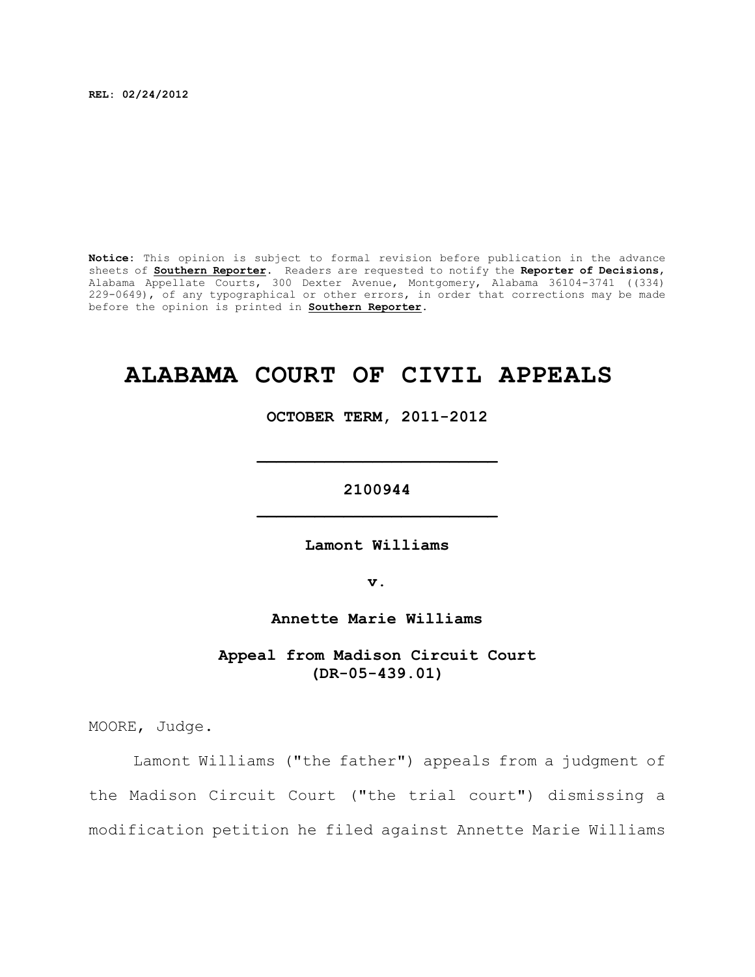**REL: 02/24/2012**

**Notice:** This opinion is subject to formal revision before publication in the advance sheets of **Southern Reporter**. Readers are requested to notify the **Reporter of Decisions**, Alabama Appellate Courts, 300 Dexter Avenue, Montgomery, Alabama 36104-3741 ((334) 229-0649), of any typographical or other errors, in order that corrections may be made before the opinion is printed in **Southern Reporter**.

# **ALABAMA COURT OF CIVIL APPEALS**

**OCTOBER TERM, 2011-2012**

**\_\_\_\_\_\_\_\_\_\_\_\_\_\_\_\_\_\_\_\_\_\_\_\_\_**

**2100944 \_\_\_\_\_\_\_\_\_\_\_\_\_\_\_\_\_\_\_\_\_\_\_\_\_**

**Lamont Williams**

**v.**

**Annette Marie Williams**

**Appeal from Madison Circuit Court (DR-05-439.01)**

MOORE, Judge.

Lamont Williams ("the father") appeals from a judgment of the Madison Circuit Court ("the trial court") dismissing a modification petition he filed against Annette Marie Williams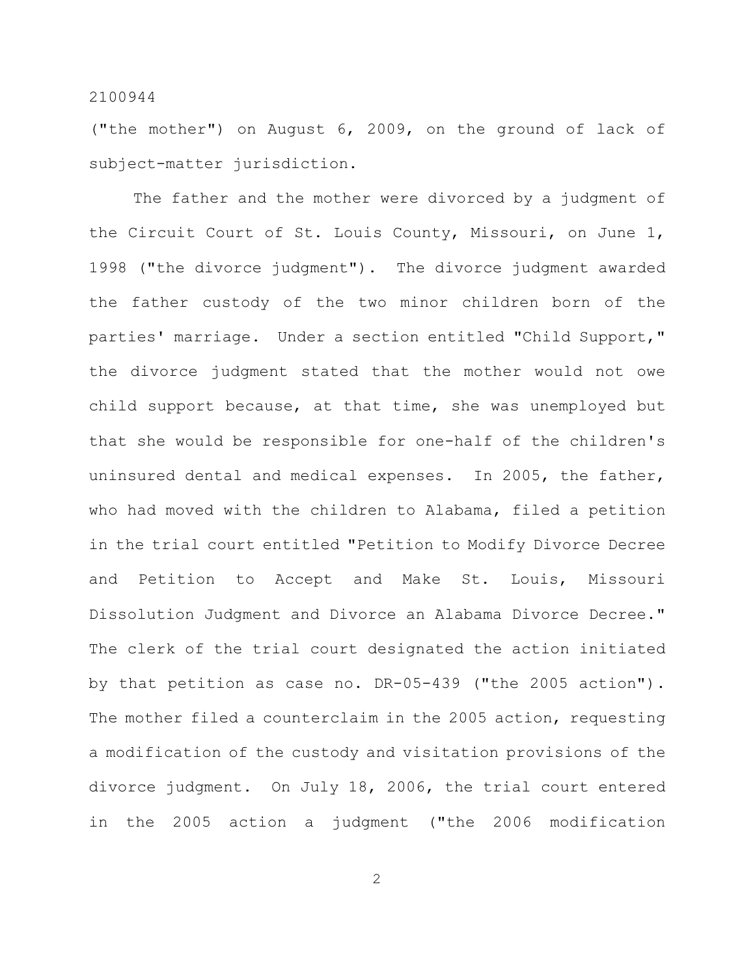("the mother") on August 6, 2009, on the ground of lack of subject-matter jurisdiction.

The father and the mother were divorced by a judgment of the Circuit Court of St. Louis County, Missouri, on June 1, 1998 ("the divorce judgment"). The divorce judgment awarded the father custody of the two minor children born of the parties' marriage. Under a section entitled "Child Support," the divorce judgment stated that the mother would not owe child support because, at that time, she was unemployed but that she would be responsible for one-half of the children's uninsured dental and medical expenses. In 2005, the father, who had moved with the children to Alabama, filed a petition in the trial court entitled "Petition to Modify Divorce Decree and Petition to Accept and Make St. Louis, Missouri Dissolution Judgment and Divorce an Alabama Divorce Decree." The clerk of the trial court designated the action initiated by that petition as case no. DR-05-439 ("the 2005 action"). The mother filed a counterclaim in the 2005 action, requesting a modification of the custody and visitation provisions of the divorce judgment. On July 18, 2006, the trial court entered in the 2005 action a judgment ("the 2006 modification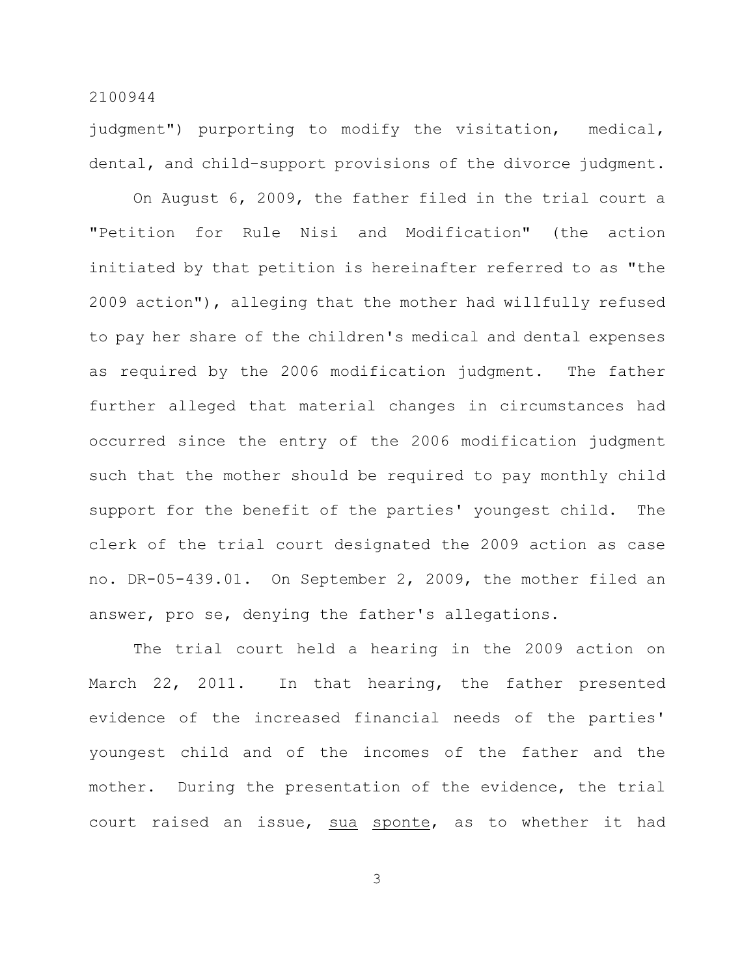judgment") purporting to modify the visitation, medical, dental, and child-support provisions of the divorce judgment.

On August 6, 2009, the father filed in the trial court a "Petition for Rule Nisi and Modification" (the action initiated by that petition is hereinafter referred to as "the 2009 action"), alleging that the mother had willfully refused to pay her share of the children's medical and dental expenses as required by the 2006 modification judgment. The father further alleged that material changes in circumstances had occurred since the entry of the 2006 modification judgment such that the mother should be required to pay monthly child support for the benefit of the parties' youngest child. The clerk of the trial court designated the 2009 action as case no. DR-05-439.01. On September 2, 2009, the mother filed an answer, pro se, denying the father's allegations.

The trial court held a hearing in the 2009 action on March 22, 2011. In that hearing, the father presented evidence of the increased financial needs of the parties' youngest child and of the incomes of the father and the mother. During the presentation of the evidence, the trial court raised an issue, sua sponte, as to whether it had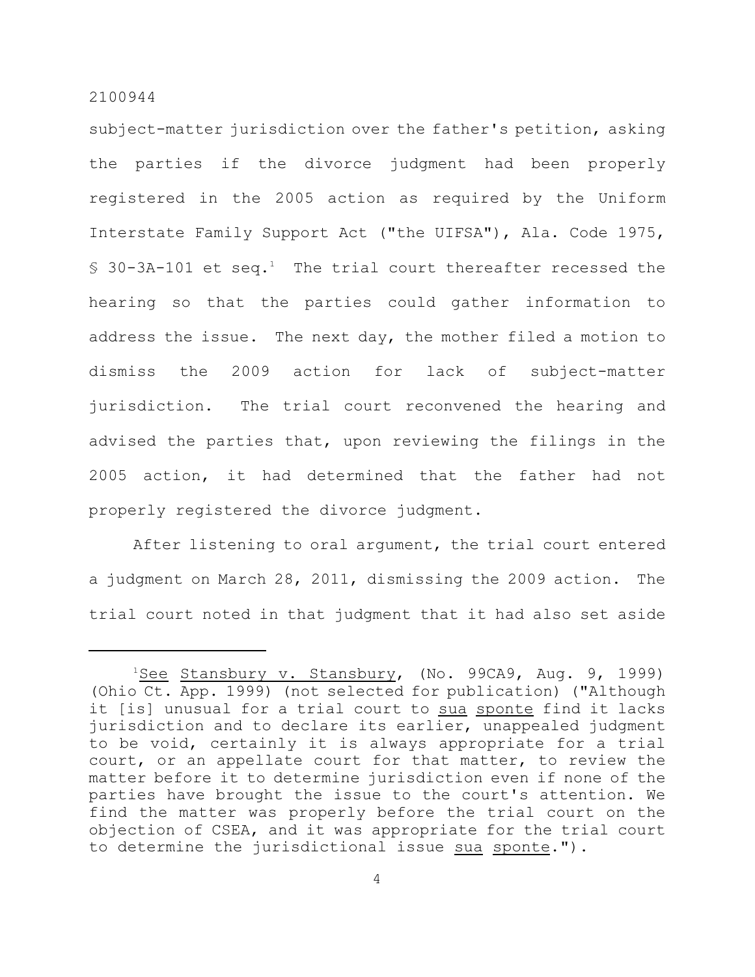subject-matter jurisdiction over the father's petition, asking the parties if the divorce judgment had been properly registered in the 2005 action as required by the Uniform Interstate Family Support Act ("the UIFSA"), Ala. Code 1975,  $$30-3A-101$  et seq.<sup>1</sup> The trial court thereafter recessed the hearing so that the parties could gather information to address the issue. The next day, the mother filed a motion to dismiss the 2009 action for lack of subject-matter jurisdiction. The trial court reconvened the hearing and advised the parties that, upon reviewing the filings in the 2005 action, it had determined that the father had not properly registered the divorce judgment.

After listening to oral argument, the trial court entered a judgment on March 28, 2011, dismissing the 2009 action. The trial court noted in that judgment that it had also set aside

<sup>&</sup>lt;sup>1</sup>See Stansbury v. Stansbury, (No. 99CA9, Aug. 9, 1999) (Ohio Ct. App. 1999) (not selected for publication) ("Although it [is] unusual for a trial court to sua sponte find it lacks jurisdiction and to declare its earlier, unappealed judgment to be void, certainly it is always appropriate for a trial court, or an appellate court for that matter, to review the matter before it to determine jurisdiction even if none of the parties have brought the issue to the court's attention. We find the matter was properly before the trial court on the objection of CSEA, and it was appropriate for the trial court to determine the jurisdictional issue sua sponte.").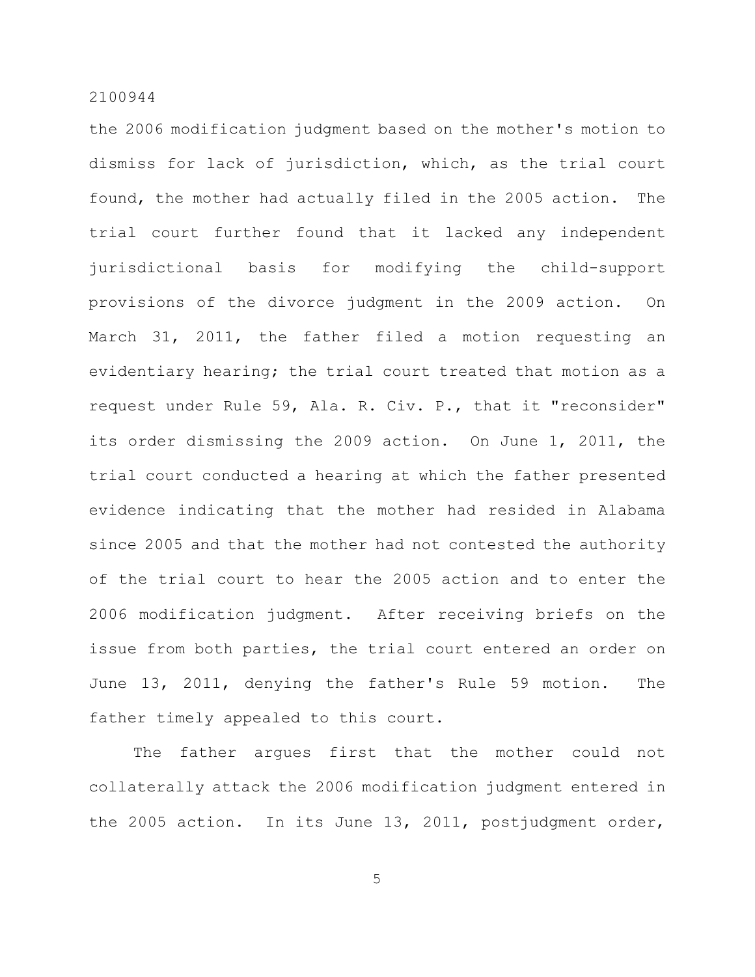the 2006 modification judgment based on the mother's motion to dismiss for lack of jurisdiction, which, as the trial court found, the mother had actually filed in the 2005 action. The trial court further found that it lacked any independent jurisdictional basis for modifying the child-support provisions of the divorce judgment in the 2009 action. On March 31, 2011, the father filed a motion requesting an evidentiary hearing; the trial court treated that motion as a request under Rule 59, Ala. R. Civ. P., that it "reconsider" its order dismissing the 2009 action. On June 1, 2011, the trial court conducted a hearing at which the father presented evidence indicating that the mother had resided in Alabama since 2005 and that the mother had not contested the authority of the trial court to hear the 2005 action and to enter the 2006 modification judgment. After receiving briefs on the issue from both parties, the trial court entered an order on June 13, 2011, denying the father's Rule 59 motion. The father timely appealed to this court.

The father argues first that the mother could not collaterally attack the 2006 modification judgment entered in the 2005 action. In its June 13, 2011, postjudgment order,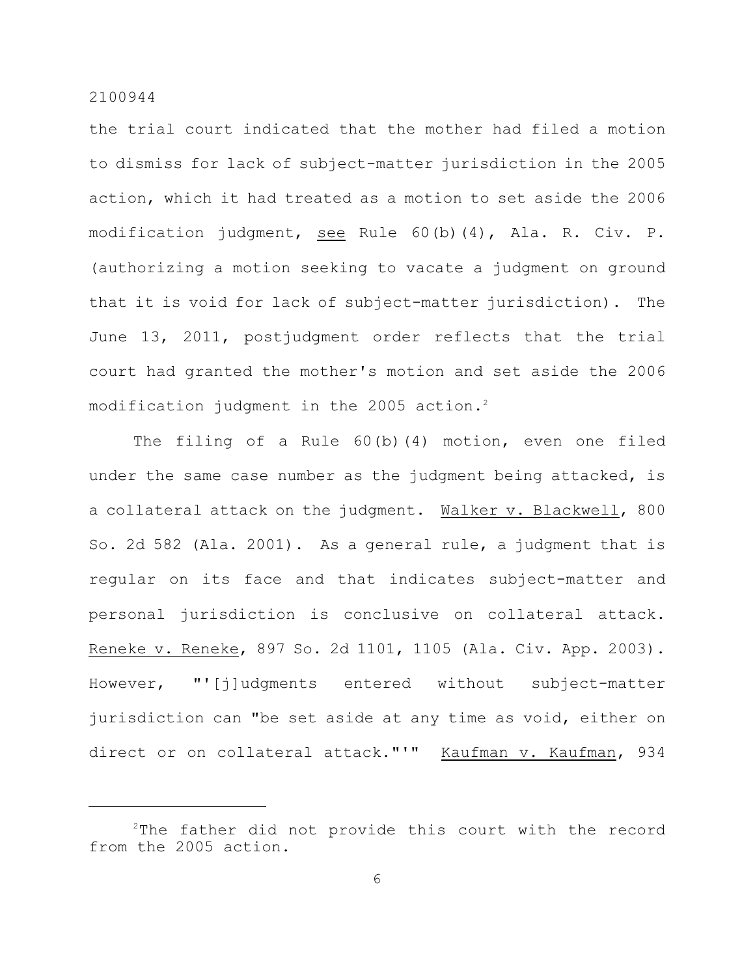the trial court indicated that the mother had filed a motion to dismiss for lack of subject-matter jurisdiction in the 2005 action, which it had treated as a motion to set aside the 2006 modification judgment, see Rule 60(b)(4), Ala. R. Civ. P. (authorizing a motion seeking to vacate a judgment on ground that it is void for lack of subject-matter jurisdiction). The June 13, 2011, postjudgment order reflects that the trial court had granted the mother's motion and set aside the 2006 modification judgment in the 2005 action.<sup>2</sup>

The filing of a Rule 60(b)(4) motion, even one filed under the same case number as the judgment being attacked, is a collateral attack on the judgment. Walker v. Blackwell, 800 So. 2d 582 (Ala. 2001). As a general rule, a judgment that is regular on its face and that indicates subject-matter and personal jurisdiction is conclusive on collateral attack. Reneke v. Reneke, 897 So. 2d 1101, 1105 (Ala. Civ. App. 2003). However, "'[j]udgments entered without subject-matter jurisdiction can "be set aside at any time as void, either on direct or on collateral attack."'" Kaufman v. Kaufman, 934

 $2$ The father did not provide this court with the record from the 2005 action.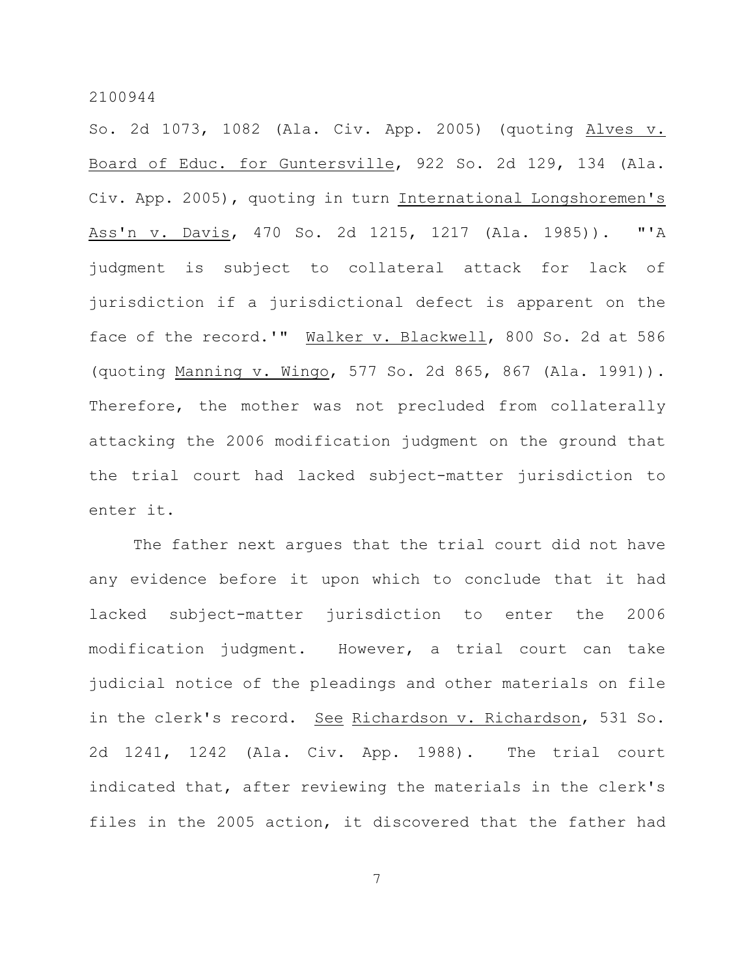So. 2d 1073, 1082 (Ala. Civ. App. 2005) (quoting Alves v. Board of Educ. for Guntersville, 922 So. 2d 129, 134 (Ala. Civ. App. 2005), quoting in turn International Longshoremen's Ass'n v. Davis, 470 So. 2d 1215, 1217 (Ala. 1985)). "'A judgment is subject to collateral attack for lack of jurisdiction if a jurisdictional defect is apparent on the face of the record.'" Walker v. Blackwell, 800 So. 2d at 586 (quoting Manning v. Wingo, 577 So. 2d 865, 867 (Ala. 1991)). Therefore, the mother was not precluded from collaterally attacking the 2006 modification judgment on the ground that the trial court had lacked subject-matter jurisdiction to enter it.

The father next argues that the trial court did not have any evidence before it upon which to conclude that it had lacked subject-matter jurisdiction to enter the 2006 modification judgment. However, a trial court can take judicial notice of the pleadings and other materials on file in the clerk's record. See Richardson v. Richardson, 531 So. 2d 1241, 1242 (Ala. Civ. App. 1988). The trial court indicated that, after reviewing the materials in the clerk's files in the 2005 action, it discovered that the father had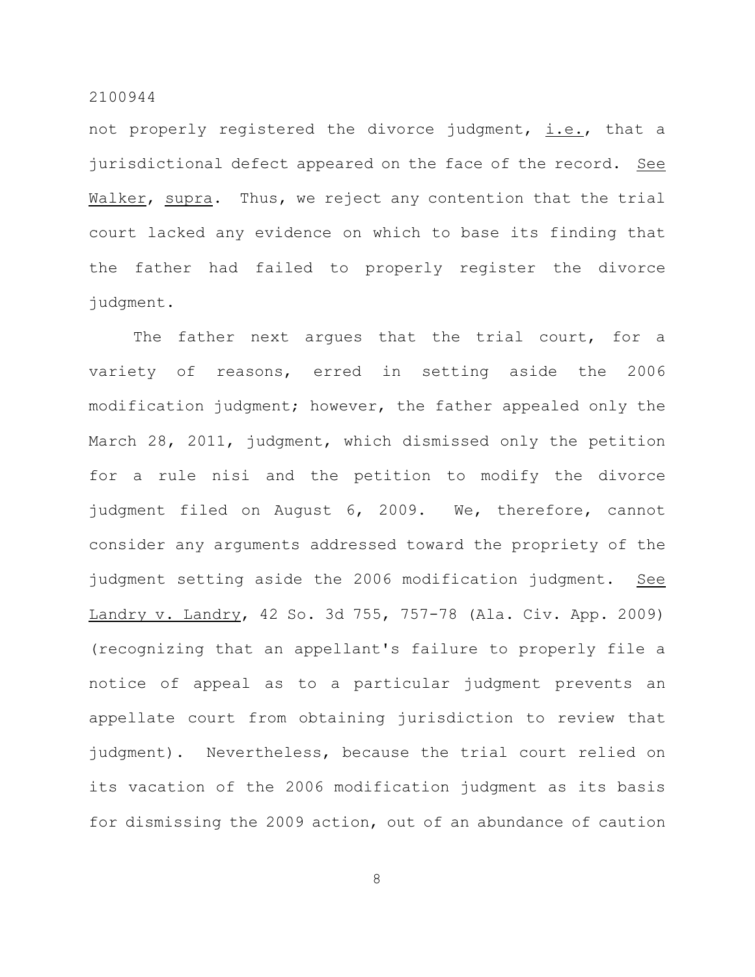not properly registered the divorce judgment, i.e., that a jurisdictional defect appeared on the face of the record. See Walker, supra. Thus, we reject any contention that the trial court lacked any evidence on which to base its finding that the father had failed to properly register the divorce judgment.

The father next argues that the trial court, for a variety of reasons, erred in setting aside the 2006 modification judgment; however, the father appealed only the March 28, 2011, judgment, which dismissed only the petition for a rule nisi and the petition to modify the divorce judgment filed on August 6, 2009. We, therefore, cannot consider any arguments addressed toward the propriety of the judgment setting aside the 2006 modification judgment. See Landry v. Landry, 42 So. 3d 755, 757-78 (Ala. Civ. App. 2009) (recognizing that an appellant's failure to properly file a notice of appeal as to a particular judgment prevents an appellate court from obtaining jurisdiction to review that judgment). Nevertheless, because the trial court relied on its vacation of the 2006 modification judgment as its basis for dismissing the 2009 action, out of an abundance of caution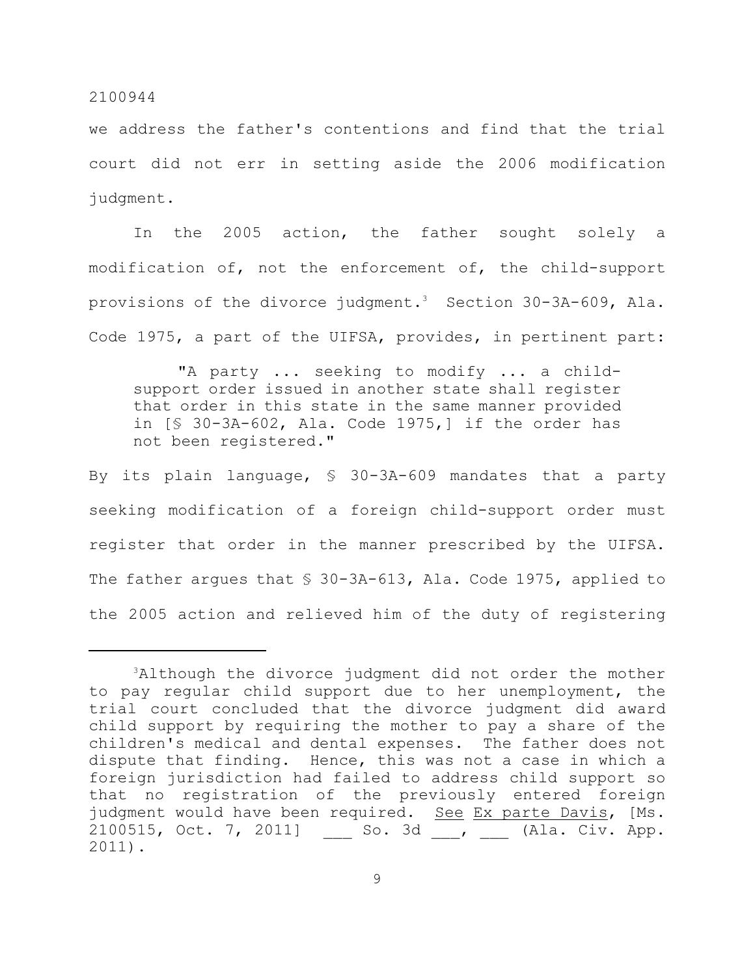we address the father's contentions and find that the trial court did not err in setting aside the 2006 modification judgment.

In the 2005 action, the father sought solely a modification of, not the enforcement of, the child-support provisions of the divorce judgment.<sup>3</sup> Section 30-3A-609, Ala. Code 1975, a part of the UIFSA, provides, in pertinent part:

"A party ... seeking to modify ... a childsupport order issued in another state shall register that order in this state in the same manner provided in [§ 30-3A-602, Ala. Code 1975,] if the order has not been registered."

By its plain language, § 30-3A-609 mandates that a party seeking modification of a foreign child-support order must register that order in the manner prescribed by the UIFSA. The father argues that \$ 30-3A-613, Ala. Code 1975, applied to the 2005 action and relieved him of the duty of registering

 $3$ Although the divorce judgment did not order the mother to pay regular child support due to her unemployment, the trial court concluded that the divorce judgment did award child support by requiring the mother to pay a share of the children's medical and dental expenses. The father does not dispute that finding. Hence, this was not a case in which a foreign jurisdiction had failed to address child support so that no registration of the previously entered foreign judgment would have been required. See Ex parte Davis, [Ms. 2100515, Oct. 7, 2011] So. 3d , (Ala. Civ. App. 2011).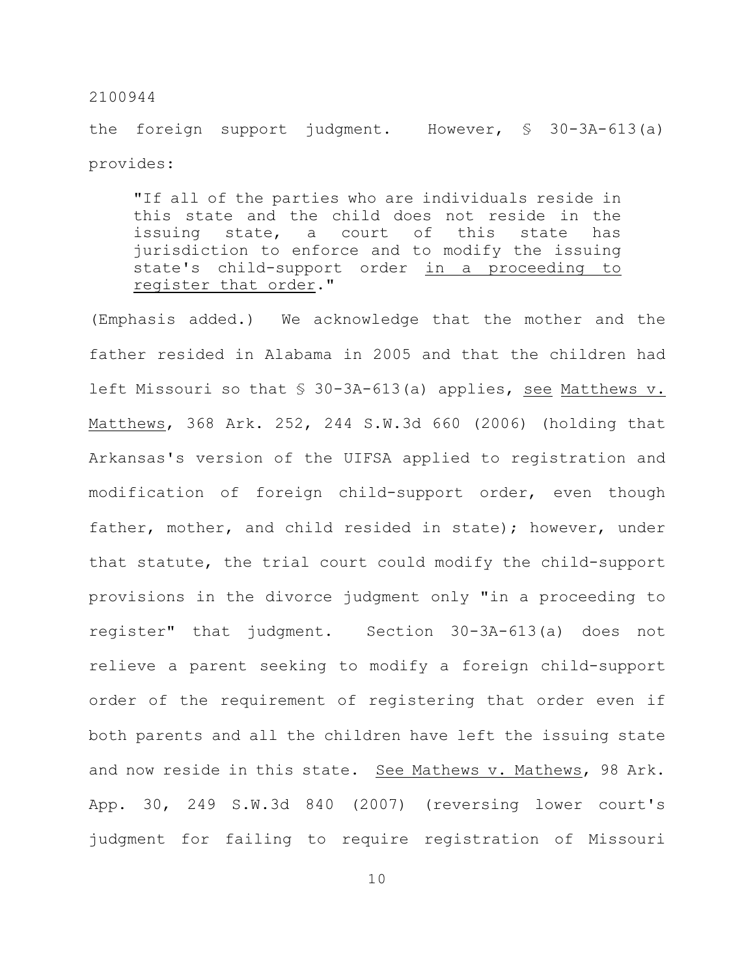the foreign support judgment. However, § 30-3A-613(a) provides:

"If all of the parties who are individuals reside in this state and the child does not reside in the issuing state, a court of this state has jurisdiction to enforce and to modify the issuing state's child-support order in a proceeding to register that order."

(Emphasis added.) We acknowledge that the mother and the father resided in Alabama in 2005 and that the children had left Missouri so that § 30-3A-613(a) applies, see Matthews v. Matthews, 368 Ark. 252, 244 S.W.3d 660 (2006) (holding that Arkansas's version of the UIFSA applied to registration and modification of foreign child-support order, even though father, mother, and child resided in state); however, under that statute, the trial court could modify the child-support provisions in the divorce judgment only "in a proceeding to register" that judgment. Section 30-3A-613(a) does not relieve a parent seeking to modify a foreign child-support order of the requirement of registering that order even if both parents and all the children have left the issuing state and now reside in this state. See Mathews v. Mathews, 98 Ark. App. 30, 249 S.W.3d 840 (2007) (reversing lower court's judgment for failing to require registration of Missouri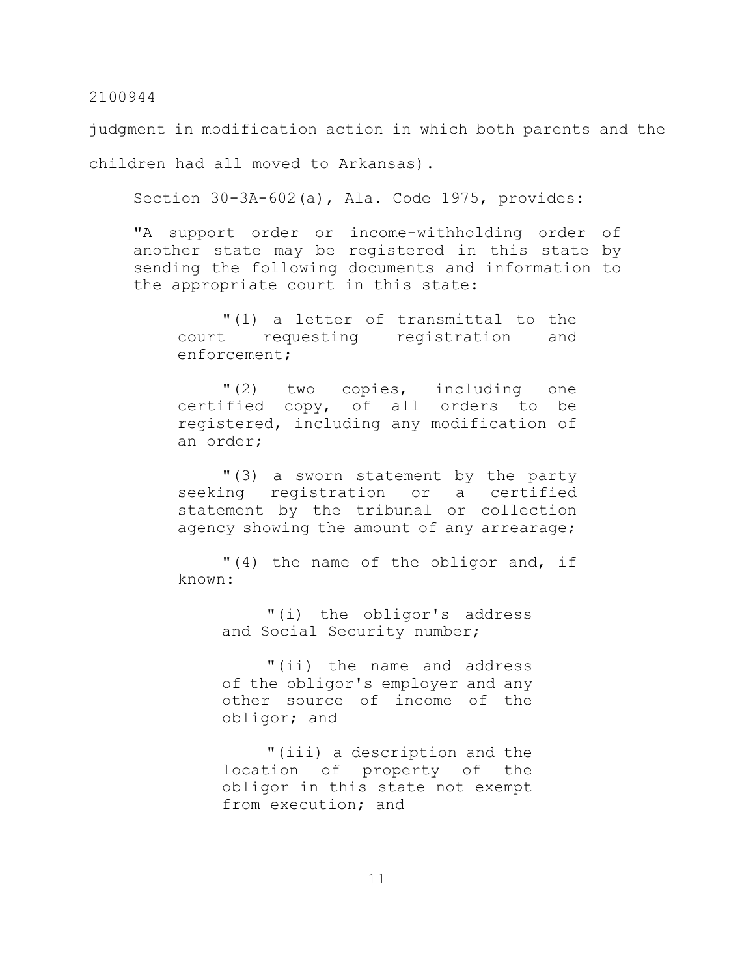judgment in modification action in which both parents and the children had all moved to Arkansas).

Section 30-3A-602(a), Ala. Code 1975, provides:

"A support order or income-withholding order of another state may be registered in this state by sending the following documents and information to the appropriate court in this state:

"(1) a letter of transmittal to the court requesting registration and enforcement;

"(2) two copies, including one certified copy, of all orders to be registered, including any modification of an order;

"(3) a sworn statement by the party seeking registration or a certified statement by the tribunal or collection agency showing the amount of any arrearage;

"(4) the name of the obligor and, if known:

> "(i) the obligor's address and Social Security number;

> "(ii) the name and address of the obligor's employer and any other source of income of the obligor; and

> "(iii) a description and the location of property of the obligor in this state not exempt from execution; and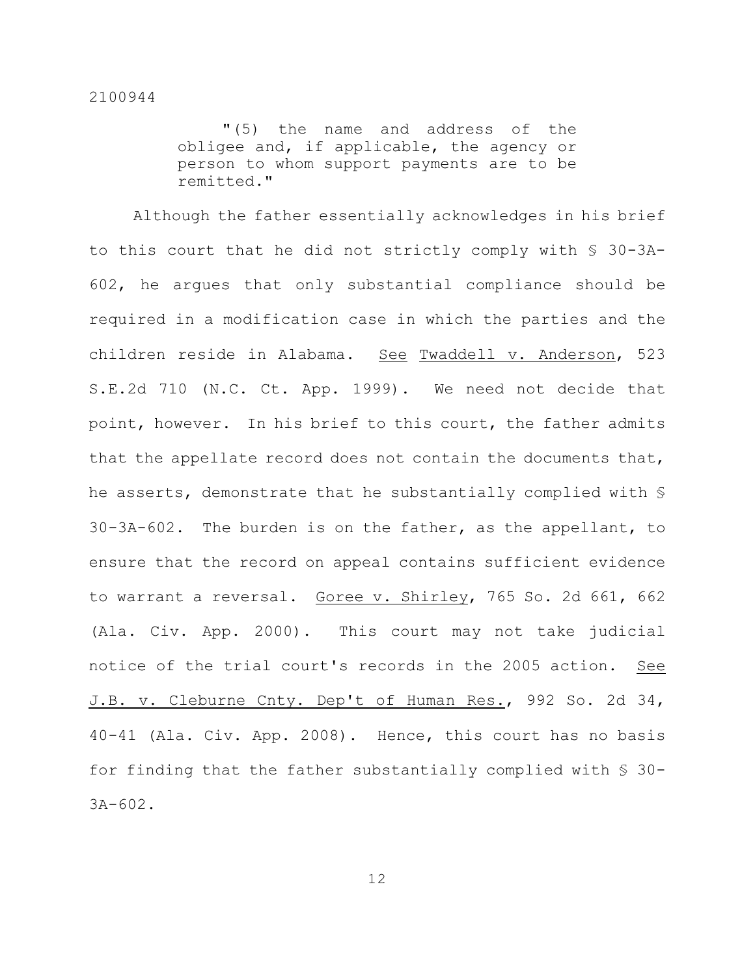"(5) the name and address of the obligee and, if applicable, the agency or person to whom support payments are to be remitted."

Although the father essentially acknowledges in his brief to this court that he did not strictly comply with § 30-3A-602, he argues that only substantial compliance should be required in a modification case in which the parties and the children reside in Alabama. See Twaddell v. Anderson, 523 S.E.2d 710 (N.C. Ct. App. 1999). We need not decide that point, however. In his brief to this court, the father admits that the appellate record does not contain the documents that, he asserts, demonstrate that he substantially complied with § 30-3A-602. The burden is on the father, as the appellant, to ensure that the record on appeal contains sufficient evidence to warrant a reversal. Goree v. Shirley, 765 So. 2d 661, 662 (Ala. Civ. App. 2000). This court may not take judicial notice of the trial court's records in the 2005 action. See J.B. v. Cleburne Cnty. Dep't of Human Res., 992 So. 2d 34, 40-41 (Ala. Civ. App. 2008). Hence, this court has no basis for finding that the father substantially complied with § 30- 3A-602.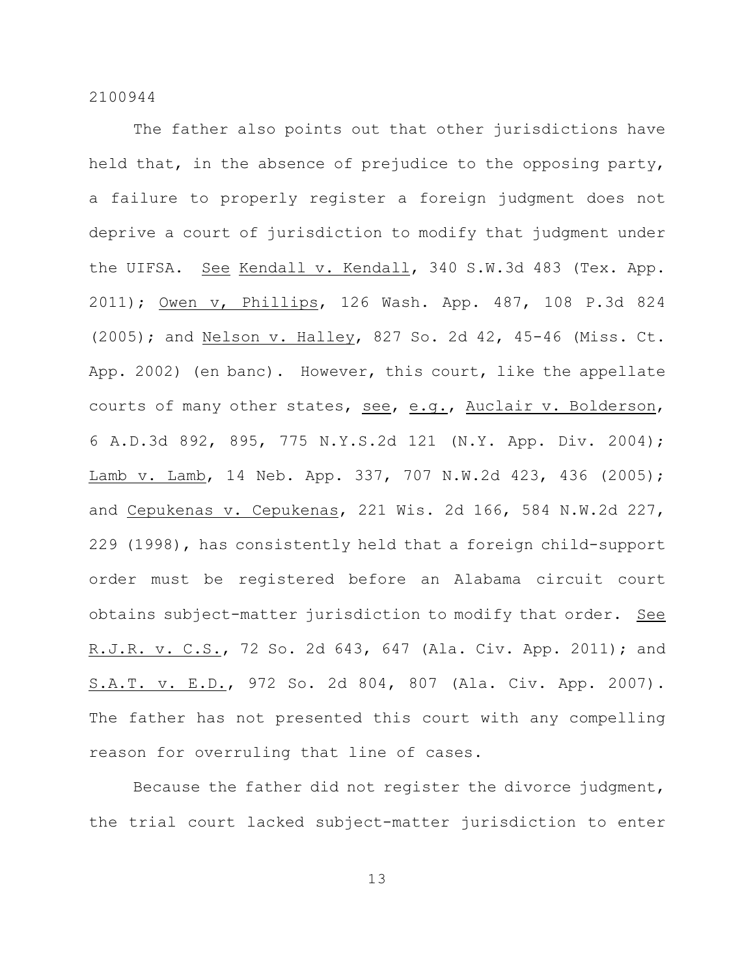The father also points out that other jurisdictions have held that, in the absence of prejudice to the opposing party, a failure to properly register a foreign judgment does not deprive a court of jurisdiction to modify that judgment under the UIFSA. See Kendall v. Kendall, 340 S.W.3d 483 (Tex. App. 2011); Owen v, Phillips, 126 Wash. App. 487, 108 P.3d 824 (2005); and Nelson v. Halley, 827 So. 2d 42, 45-46 (Miss. Ct. App. 2002) (en banc). However, this court, like the appellate courts of many other states, see, e.g., Auclair v. Bolderson, 6 A.D.3d 892, 895, 775 N.Y.S.2d 121 (N.Y. App. Div. 2004); Lamb v. Lamb, 14 Neb. App. 337, 707 N.W.2d 423, 436 (2005); and Cepukenas v. Cepukenas, 221 Wis. 2d 166, 584 N.W.2d 227, 229 (1998), has consistently held that a foreign child-support order must be registered before an Alabama circuit court obtains subject-matter jurisdiction to modify that order. See R.J.R. v. C.S., 72 So. 2d 643, 647 (Ala. Civ. App. 2011); and S.A.T. v. E.D., 972 So. 2d 804, 807 (Ala. Civ. App. 2007). The father has not presented this court with any compelling reason for overruling that line of cases.

Because the father did not register the divorce judgment, the trial court lacked subject-matter jurisdiction to enter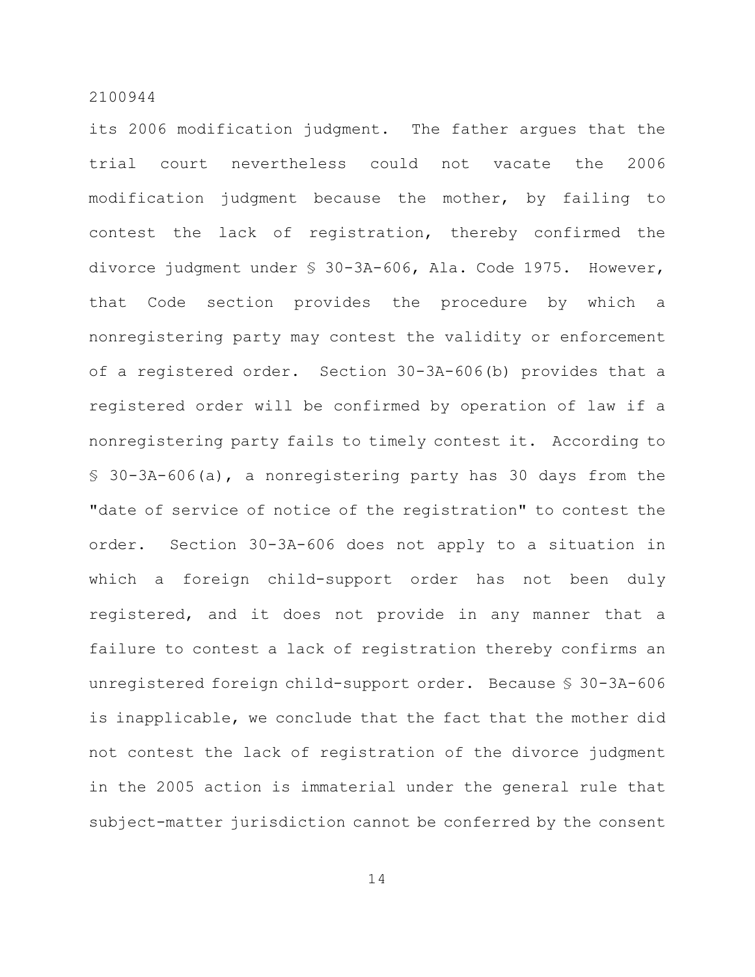its 2006 modification judgment. The father argues that the trial court nevertheless could not vacate the 2006 modification judgment because the mother, by failing to contest the lack of registration, thereby confirmed the divorce judgment under § 30-3A-606, Ala. Code 1975. However, that Code section provides the procedure by which a nonregistering party may contest the validity or enforcement of a registered order. Section 30-3A-606(b) provides that a registered order will be confirmed by operation of law if a nonregistering party fails to timely contest it. According to § 30-3A-606(a), a nonregistering party has 30 days from the "date of service of notice of the registration" to contest the order. Section 30-3A-606 does not apply to a situation in which a foreign child-support order has not been duly registered, and it does not provide in any manner that a failure to contest a lack of registration thereby confirms an unregistered foreign child-support order. Because § 30-3A-606 is inapplicable, we conclude that the fact that the mother did not contest the lack of registration of the divorce judgment in the 2005 action is immaterial under the general rule that subject-matter jurisdiction cannot be conferred by the consent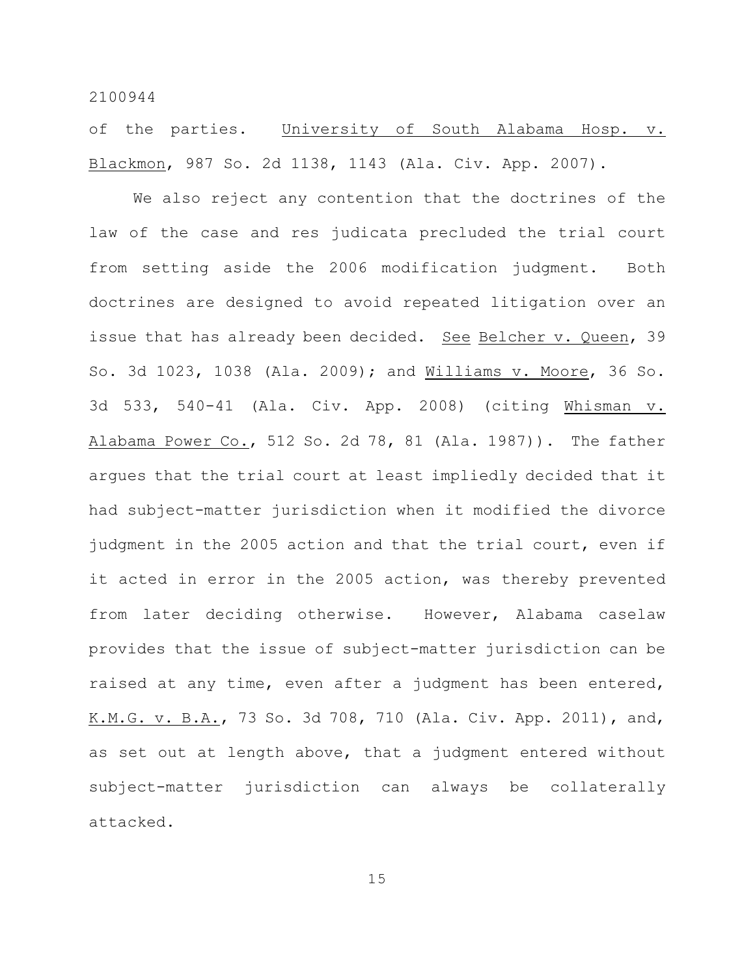of the parties. University of South Alabama Hosp. v. Blackmon, 987 So. 2d 1138, 1143 (Ala. Civ. App. 2007).

We also reject any contention that the doctrines of the law of the case and res judicata precluded the trial court from setting aside the 2006 modification judgment. Both doctrines are designed to avoid repeated litigation over an issue that has already been decided. See Belcher v. Queen, 39 So. 3d 1023, 1038 (Ala. 2009); and Williams v. Moore, 36 So. 3d 533, 540-41 (Ala. Civ. App. 2008) (citing Whisman v. Alabama Power Co., 512 So. 2d 78, 81 (Ala. 1987)). The father argues that the trial court at least impliedly decided that it had subject-matter jurisdiction when it modified the divorce judgment in the 2005 action and that the trial court, even if it acted in error in the 2005 action, was thereby prevented from later deciding otherwise. However, Alabama caselaw provides that the issue of subject-matter jurisdiction can be raised at any time, even after a judgment has been entered, K.M.G. v. B.A., 73 So. 3d 708, 710 (Ala. Civ. App. 2011), and, as set out at length above, that a judgment entered without subject-matter jurisdiction can always be collaterally attacked.